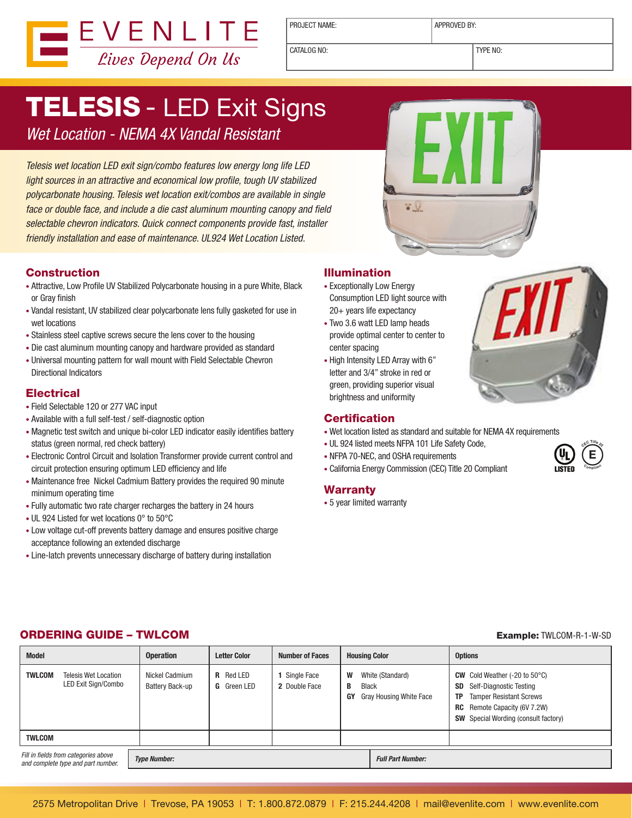

PROJECT NAME: <br> APPROVED BY:

CATALOG NO: TYPE NO:

# **TELESIS - LED Exit Signs**

*Wet Location - NEMA 4X Vandal Resistant*

*Telesis wet location LED exit sign/combo features low energy long life LED light sources in an attractive and economical low profile, tough UV stabilized polycarbonate housing. Telesis wet location exit/combos are available in single face or double face, and include a die cast aluminum mounting canopy and field selectable chevron indicators. Quick connect components provide fast, installer friendly installation and ease of maintenance. UL924 Wet Location Listed.*

#### Construction

- Attractive, Low Profile UV Stabilized Polycarbonate housing in a pure White, Black or Gray finish
- Vandal resistant, UV stabilized clear polycarbonate lens fully gasketed for use in wet locations
- Stainless steel captive screws secure the lens cover to the housing
- Die cast aluminum mounting canopy and hardware provided as standard
- Universal mounting pattern for wall mount with Field Selectable Chevron Directional Indicators

#### **Electrical**

- Field Selectable 120 or 277 VAC input
- Available with a full self-test / self-diagnostic option
- Magnetic test switch and unique bi-color LED indicator easily identifies battery status (green normal, red check battery)
- Electronic Control Circuit and Isolation Transformer provide current control and circuit protection ensuring optimum LED efficiency and life
- Maintenance free Nickel Cadmium Battery provides the required 90 minute minimum operating time
- Fully automatic two rate charger recharges the battery in 24 hours
- UL 924 Listed for wet locations 0° to 50°C
- Low voltage cut-off prevents battery damage and ensures positive charge acceptance following an extended discharge
- Line-latch prevents unnecessary discharge of battery during installation

#### Illumination

• Exceptionally Low Energy Consumption LED light source with 20+ years life expectancy

 $\bullet$   $\odot$ 

- Two 3.6 watt LED lamp heads provide optimal center to center to center spacing
- High Intensity LED Array with 6" letter and 3/4" stroke in red or green, providing superior visual brightness and uniformity

#### **Certification**

- Wet location listed as standard and suitable for NEMA 4X requirements
- UL 924 listed meets NFPA 101 Life Safety Code,
- NFPA 70-NEC, and OSHA requirements
- California Energy Commission (CEC) Title 20 Compliant

#### **Warranty**

• 5 year limited warranty



#### **<sup>C</sup>E<sup>C</sup> <sup>T</sup>itl<sup>e</sup> <sup>2</sup><sup>0</sup>**  $\bigcirc$ **E <sup>C</sup>omplian<sup>t</sup>**

#### ORDERING GUIDE – TWLCOM Example: TWLCOM-R-1-W-SD

| <b>Model</b>                                                               |  | <b>Operation</b>                  | <b>Letter Color</b>                    | <b>Number of Faces</b>       | <b>Housing Color</b>         |                                             | <b>Options</b>                                                                                                                                                                                                             |  |  |  |  |
|----------------------------------------------------------------------------|--|-----------------------------------|----------------------------------------|------------------------------|------------------------------|---------------------------------------------|----------------------------------------------------------------------------------------------------------------------------------------------------------------------------------------------------------------------------|--|--|--|--|
| <b>TWLCOM</b><br>Telesis Wet Location<br>LED Exit Sign/Combo               |  | Nickel Cadmium<br>Battery Back-up | <b>R</b> Red LED<br><b>G</b> Green LED | Single Face<br>2 Double Face | W<br>В<br><b>Black</b><br>GY | White (Standard)<br>Gray Housing White Face | <b>CW</b> Cold Weather $(-20 \text{ to } 50^{\circ} \text{C})$<br>Self-Diagnostic Testing<br>SD<br><b>Tamper Resistant Screws</b><br>TP.<br>Remote Capacity (6V 7.2W)<br>RC<br><b>SW</b> Special Wording (consult factory) |  |  |  |  |
| <b>TWLCOM</b>                                                              |  |                                   |                                        |                              |                              |                                             |                                                                                                                                                                                                                            |  |  |  |  |
| Fill in fields from categories above<br>and complete type and part number. |  | <b>Type Number:</b>               |                                        |                              | <b>Full Part Number:</b>     |                                             |                                                                                                                                                                                                                            |  |  |  |  |